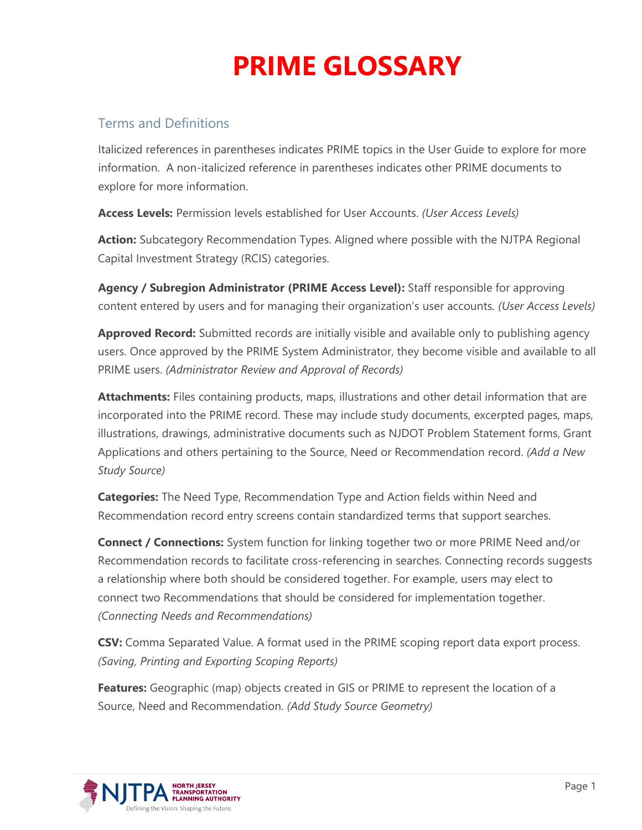#### Terms and Definitions

Italicized references in parentheses indicates PRIME topics in the User Guide to explore for more information. A non-italicized reference in parentheses indicates other PRIME documents to explore for more information.

**Access Levels:** Permission levels established for User Accounts. *(User Access Levels)*

**Action:** Subcategory Recommendation Types. Aligned where possible with the NJTPA Regional Capital Investment Strategy (RCIS) categories.

**Agency / Subregion Administrator (PRIME Access Level):** Staff responsible for approving content entered by users and for managing their organization's user accounts. *(User Access Levels)*

**Approved Record:** Submitted records are initially visible and available only to publishing agency users. Once approved by the PRIME System Administrator, they become visible and available to all PRIME users. *(Administrator Review and Approval of Records)*

**Attachments:** Files containing products, maps, illustrations and other detail information that are incorporated into the PRIME record. These may include study documents, excerpted pages, maps, illustrations, drawings, administrative documents such as NJDOT Problem Statement forms, Grant Applications and others pertaining to the Source, Need or Recommendation record. *(Add a New Study Source)*

**Categories:** The Need Type, Recommendation Type and Action fields within Need and Recommendation record entry screens contain standardized terms that support searches.

**Connect / Connections:** System function for linking together two or more PRIME Need and/or Recommendation records to facilitate cross-referencing in searches. Connecting records suggests a relationship where both should be considered together. For example, users may elect to connect two Recommendations that should be considered for implementation together. *(Connecting Needs and Recommendations)*

**CSV:** Comma Separated Value. A format used in the PRIME scoping report data export process. *(Saving, Printing and Exporting Scoping Reports)*

**Features:** Geographic (map) objects created in GIS or PRIME to represent the location of a Source, Need and Recommendation. *(Add Study Source Geometry)*

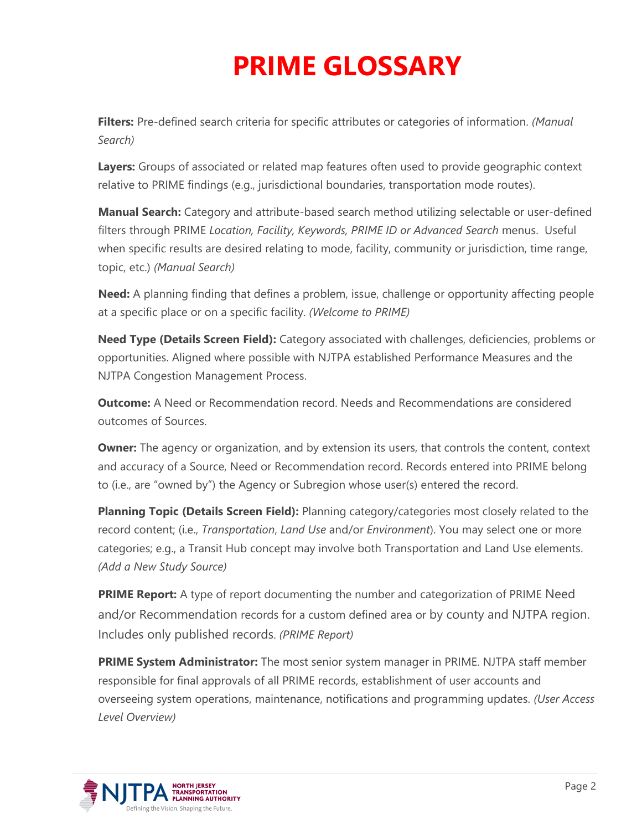**Filters:** Pre-defined search criteria for specific attributes or categories of information. *(Manual Search)*

**Layers:** Groups of associated or related map features often used to provide geographic context relative to PRIME findings (e.g., jurisdictional boundaries, transportation mode routes).

**Manual Search:** Category and attribute-based search method utilizing selectable or user-defined filters through PRIME *Location, Facility, Keywords, PRIME ID or Advanced Search* menus. Useful when specific results are desired relating to mode, facility, community or jurisdiction, time range, topic, etc.) *(Manual Search)*

**Need:** A planning finding that defines a problem, issue, challenge or opportunity affecting people at a specific place or on a specific facility. *(Welcome to PRIME)*

**Need Type (Details Screen Field):** Category associated with challenges, deficiencies, problems or opportunities. Aligned where possible with NJTPA established Performance Measures and the NJTPA Congestion Management Process.

**Outcome:** A Need or Recommendation record. Needs and Recommendations are considered outcomes of Sources.

**Owner:** The agency or organization, and by extension its users, that controls the content, context and accuracy of a Source, Need or Recommendation record. Records entered into PRIME belong to (i.e., are "owned by") the Agency or Subregion whose user(s) entered the record.

**Planning Topic (Details Screen Field):** Planning category/categories most closely related to the record content; (i.e., *Transportation*, *Land Use* and/or *Environment*). You may select one or more categories; e.g., a Transit Hub concept may involve both Transportation and Land Use elements. *(Add a New Study Source)*

**PRIME Report:** A type of report documenting the number and categorization of PRIME Need and/or Recommendation records for a custom defined area or by county and NJTPA region. Includes only published records. *(PRIME Report)*

**PRIME System Administrator:** The most senior system manager in PRIME. NJTPA staff member responsible for final approvals of all PRIME records, establishment of user accounts and overseeing system operations, maintenance, notifications and programming updates. *(User Access Level Overview)*

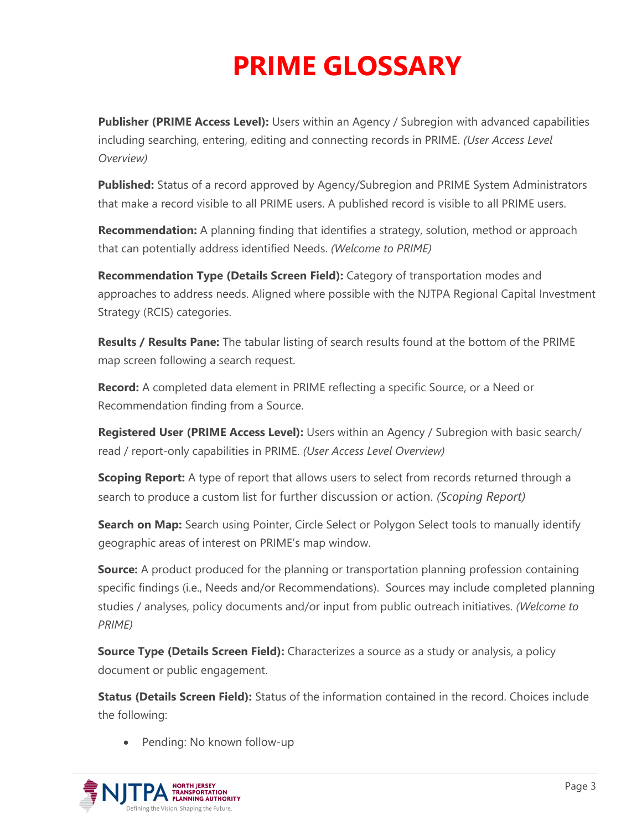**Publisher (PRIME Access Level):** Users within an Agency / Subregion with advanced capabilities including searching, entering, editing and connecting records in PRIME. *(User Access Level Overview)*

**Published:** Status of a record approved by Agency/Subregion and PRIME System Administrators that make a record visible to all PRIME users. A published record is visible to all PRIME users.

**Recommendation:** A planning finding that identifies a strategy, solution, method or approach that can potentially address identified Needs. *(Welcome to PRIME)*

**Recommendation Type (Details Screen Field):** Category of transportation modes and approaches to address needs. Aligned where possible with the NJTPA Regional Capital Investment Strategy (RCIS) categories.

**Results / Results Pane:** The tabular listing of search results found at the bottom of the PRIME map screen following a search request.

**Record:** A completed data element in PRIME reflecting a specific Source, or a Need or Recommendation finding from a Source.

**Registered User (PRIME Access Level):** Users within an Agency / Subregion with basic search/ read / report-only capabilities in PRIME. *(User Access Level Overview)*

**Scoping Report:** A type of report that allows users to select from records returned through a search to produce a custom list for further discussion or action. *(Scoping Report)*

**Search on Map:** Search using Pointer, Circle Select or Polygon Select tools to manually identify geographic areas of interest on PRIME's map window.

**Source:** A product produced for the planning or transportation planning profession containing specific findings (i.e., Needs and/or Recommendations). Sources may include completed planning studies / analyses, policy documents and/or input from public outreach initiatives. *(Welcome to PRIME)*

**Source Type (Details Screen Field):** Characterizes a source as a study or analysis, a policy document or public engagement.

**Status (Details Screen Field):** Status of the information contained in the record. Choices include the following:

• Pending: No known follow-up